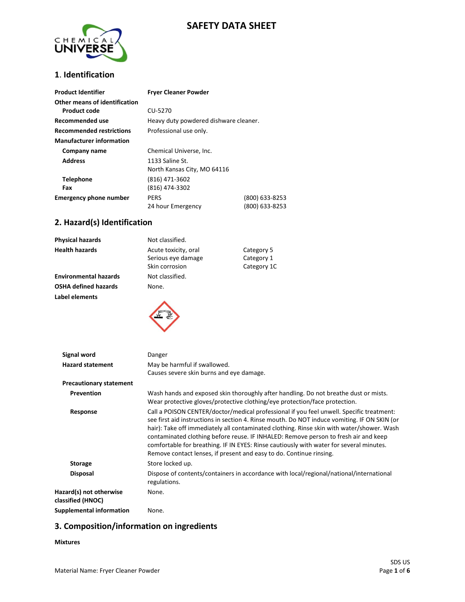### **SAFETY DATA SHEET**



#### **1**. **Identification**

| <b>Product Identifier</b>                            | <b>Fryer Cleaner Powder</b>                    |                                  |
|------------------------------------------------------|------------------------------------------------|----------------------------------|
| Other means of identification<br><b>Product code</b> | CU-5270                                        |                                  |
|                                                      |                                                |                                  |
| Recommended use                                      | Heavy duty powdered dishware cleaner.          |                                  |
| <b>Recommended restrictions</b>                      | Professional use only.                         |                                  |
| <b>Manufacturer information</b>                      |                                                |                                  |
| Company name                                         | Chemical Universe, Inc.                        |                                  |
| <b>Address</b>                                       | 1133 Saline St.<br>North Kansas City, MO 64116 |                                  |
| <b>Telephone</b><br>Fax                              | (816) 471-3602<br>(816) 474-3302               |                                  |
| <b>Emergency phone number</b>                        | <b>PERS</b><br>24 hour Emergency               | (800) 633-8253<br>(800) 633-8253 |

#### **2. Hazard(s) Identification**

| <b>Physical hazards</b>                | Not classified.                                              |                                         |
|----------------------------------------|--------------------------------------------------------------|-----------------------------------------|
| Health hazards                         | Acute toxicity, oral<br>Serious eye damage<br>Skin corrosion | Category 5<br>Category 1<br>Category 1C |
| <b>Environmental hazards</b>           | Not classified.                                              |                                         |
| OSHA defined hazards<br>Label elements | None.                                                        |                                         |
| <b>Signal word</b>                     | Danger                                                       |                                         |

| <b>Hazard statement</b>                      | May be harmful if swallowed.<br>Causes severe skin burns and eye damage.                                                                                                                                                                                                                                                                                                                                                                                                                                                                       |
|----------------------------------------------|------------------------------------------------------------------------------------------------------------------------------------------------------------------------------------------------------------------------------------------------------------------------------------------------------------------------------------------------------------------------------------------------------------------------------------------------------------------------------------------------------------------------------------------------|
| <b>Precautionary statement</b>               |                                                                                                                                                                                                                                                                                                                                                                                                                                                                                                                                                |
| <b>Prevention</b>                            | Wash hands and exposed skin thoroughly after handling. Do not breathe dust or mists.<br>Wear protective gloves/protective clothing/eye protection/face protection.                                                                                                                                                                                                                                                                                                                                                                             |
| Response                                     | Call a POISON CENTER/doctor/medical professional if you feel unwell. Specific treatment:<br>see first aid instructions in section 4. Rinse mouth. Do NOT induce vomiting. IF ON SKIN (or<br>hair): Take off immediately all contaminated clothing. Rinse skin with water/shower. Wash<br>contaminated clothing before reuse. IF INHALED: Remove person to fresh air and keep<br>comfortable for breathing. IF IN EYES: Rinse cautiously with water for several minutes.<br>Remove contact lenses, if present and easy to do. Continue rinsing. |
| <b>Storage</b>                               | Store locked up.                                                                                                                                                                                                                                                                                                                                                                                                                                                                                                                               |
| <b>Disposal</b>                              | Dispose of contents/containers in accordance with local/regional/national/international<br>regulations.                                                                                                                                                                                                                                                                                                                                                                                                                                        |
| Hazard(s) not otherwise<br>classified (HNOC) | None.                                                                                                                                                                                                                                                                                                                                                                                                                                                                                                                                          |
| Supplemental information                     | None.                                                                                                                                                                                                                                                                                                                                                                                                                                                                                                                                          |

#### **3. Composition/information on ingredients**

**Mixtures**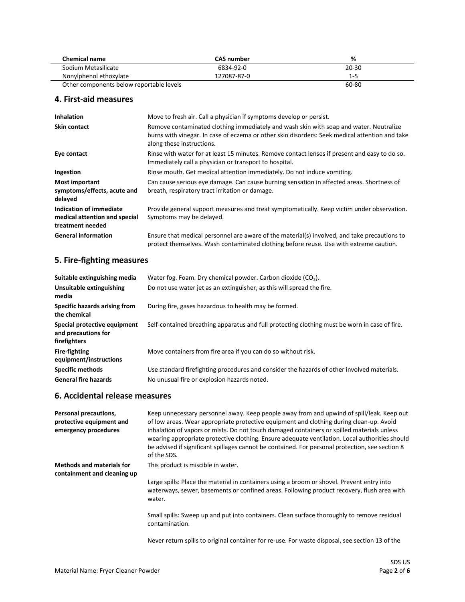| <b>Chemical name</b>                     | <b>CAS number</b> | %         |
|------------------------------------------|-------------------|-----------|
| Sodium Metasilicate                      | 6834-92-0         | $20 - 30$ |
| Nonylphenol ethoxylate                   | 127087-87-0       | 1-5       |
| Other components below reportable levels |                   | 60-80     |

#### **4. First-aid measures**

| <b>Inhalation</b>                                                            | Move to fresh air. Call a physician if symptoms develop or persist.                                                                                                                                                   |
|------------------------------------------------------------------------------|-----------------------------------------------------------------------------------------------------------------------------------------------------------------------------------------------------------------------|
| <b>Skin contact</b>                                                          | Remove contaminated clothing immediately and wash skin with soap and water. Neutralize<br>burns with vinegar. In case of eczema or other skin disorders: Seek medical attention and take<br>along these instructions. |
| Eye contact                                                                  | Rinse with water for at least 15 minutes. Remove contact lenses if present and easy to do so.<br>Immediately call a physician or transport to hospital.                                                               |
| Ingestion                                                                    | Rinse mouth. Get medical attention immediately. Do not induce vomiting.                                                                                                                                               |
| <b>Most important</b><br>symptoms/effects, acute and<br>delayed              | Can cause serious eye damage. Can cause burning sensation in affected areas. Shortness of<br>breath, respiratory tract irritation or damage.                                                                          |
| Indication of immediate<br>medical attention and special<br>treatment needed | Provide general support measures and treat symptomatically. Keep victim under observation.<br>Symptoms may be delayed.                                                                                                |
| <b>General information</b>                                                   | Ensure that medical personnel are aware of the material(s) involved, and take precautions to<br>protect themselves. Wash contaminated clothing before reuse. Use with extreme caution.                                |

### **5. Fire-fighting measures**

| Suitable extinguishing media                                        | Water fog. Foam. Dry chemical powder. Carbon dioxide $(CO2)$ .                                |
|---------------------------------------------------------------------|-----------------------------------------------------------------------------------------------|
| Unsuitable extinguishing<br>media                                   | Do not use water jet as an extinguisher, as this will spread the fire.                        |
| Specific hazards arising from<br>the chemical                       | During fire, gases hazardous to health may be formed.                                         |
| Special protective equipment<br>and precautions for<br>firefighters | Self-contained breathing apparatus and full protecting clothing must be worn in case of fire. |
| <b>Fire-fighting</b><br>equipment/instructions                      | Move containers from fire area if you can do so without risk.                                 |
| <b>Specific methods</b>                                             | Use standard firefighting procedures and consider the hazards of other involved materials.    |
| <b>General fire hazards</b>                                         | No unusual fire or explosion hazards noted.                                                   |

#### **6. Accidental release measures**

| Personal precautions,<br>protective equipment and<br>emergency procedures | Keep unnecessary personnel away. Keep people away from and upwind of spill/leak. Keep out<br>of low areas. Wear appropriate protective equipment and clothing during clean-up. Avoid<br>inhalation of vapors or mists. Do not touch damaged containers or spilled materials unless<br>wearing appropriate protective clothing. Ensure adequate ventilation. Local authorities should<br>be advised if significant spillages cannot be contained. For personal protection, see section 8<br>of the SDS. |
|---------------------------------------------------------------------------|--------------------------------------------------------------------------------------------------------------------------------------------------------------------------------------------------------------------------------------------------------------------------------------------------------------------------------------------------------------------------------------------------------------------------------------------------------------------------------------------------------|
| <b>Methods and materials for</b><br>containment and cleaning up           | This product is miscible in water.                                                                                                                                                                                                                                                                                                                                                                                                                                                                     |
|                                                                           | Large spills: Place the material in containers using a broom or shovel. Prevent entry into<br>waterways, sewer, basements or confined areas. Following product recovery, flush area with<br>water.                                                                                                                                                                                                                                                                                                     |
|                                                                           | Small spills: Sweep up and put into containers. Clean surface thoroughly to remove residual<br>contamination.                                                                                                                                                                                                                                                                                                                                                                                          |
|                                                                           | Never return spills to original container for re-use. For waste disposal, see section 13 of the                                                                                                                                                                                                                                                                                                                                                                                                        |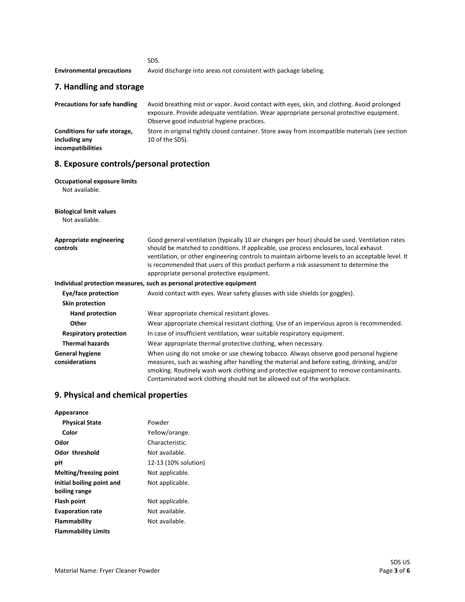SDS.

**Environmental precautions** Avoid discharge into areas not consistent with package labeling.

#### **7. Handling and storage**

| <b>Precautions for safe handling</b>          | Avoid breathing mist or vapor. Avoid contact with eyes, skin, and clothing. Avoid prolonged<br>exposure. Provide adequate ventilation. Wear appropriate personal protective equipment.<br>Observe good industrial hygiene practices. |
|-----------------------------------------------|--------------------------------------------------------------------------------------------------------------------------------------------------------------------------------------------------------------------------------------|
| Conditions for safe storage,<br>including any | Store in original tightly closed container. Store away from incompatible materials (see section<br>10 of the SDS).                                                                                                                   |
| incompatibilities                             |                                                                                                                                                                                                                                      |

### **8. Exposure controls/personal protection**

#### **Occupational exposure limits**

Not available.

| <b>Biological limit values</b><br>Not available. |                                                                                                                                                                                                                                                                                                                                                                                                                                    |
|--------------------------------------------------|------------------------------------------------------------------------------------------------------------------------------------------------------------------------------------------------------------------------------------------------------------------------------------------------------------------------------------------------------------------------------------------------------------------------------------|
| Appropriate engineering<br>controls              | Good general ventilation (typically 10 air changes per hour) should be used. Ventilation rates<br>should be matched to conditions. If applicable, use process enclosures, local exhaust<br>ventilation, or other engineering controls to maintain airborne levels to an acceptable level. It<br>is recommended that users of this product perform a risk assessment to determine the<br>appropriate personal protective equipment. |
|                                                  | Individual protection measures, such as personal protective equipment                                                                                                                                                                                                                                                                                                                                                              |
| Eye/face protection                              | Avoid contact with eyes. Wear safety glasses with side shields (or goggles).                                                                                                                                                                                                                                                                                                                                                       |
| <b>Skin protection</b>                           |                                                                                                                                                                                                                                                                                                                                                                                                                                    |
| Hand protection                                  | Wear appropriate chemical resistant gloves.                                                                                                                                                                                                                                                                                                                                                                                        |
| Other                                            | Wear appropriate chemical resistant clothing. Use of an impervious apron is recommended.                                                                                                                                                                                                                                                                                                                                           |
| <b>Respiratory protection</b>                    | In case of insufficient ventilation, wear suitable respiratory equipment.                                                                                                                                                                                                                                                                                                                                                          |
| <b>Thermal hazards</b>                           | Wear appropriate thermal protective clothing, when necessary.                                                                                                                                                                                                                                                                                                                                                                      |
| <b>General hygiene</b><br>considerations         | When using do not smoke or use chewing tobacco. Always observe good personal hygiene<br>measures, such as washing after handling the material and before eating, drinking, and/or<br>smoking. Routinely wash work clothing and protective equipment to remove contaminants.<br>Contaminated work clothing should not be allowed out of the workplace.                                                                              |

### **9. Physical and chemical properties**

| Appearance                 |                      |
|----------------------------|----------------------|
| <b>Physical State</b>      | Powder               |
| Color                      | Yellow/orange.       |
| Odor                       | Characteristic.      |
| <b>Odor threshold</b>      | Not available.       |
| рH                         | 12-13 (10% solution) |
| Melting/freezing point     | Not applicable.      |
| Initial boiling point and  | Not applicable.      |
| boiling range              |                      |
| Flash point                | Not applicable.      |
| <b>Evaporation rate</b>    | Not available.       |
| Flammability               | Not available.       |
| <b>Flammability Limits</b> |                      |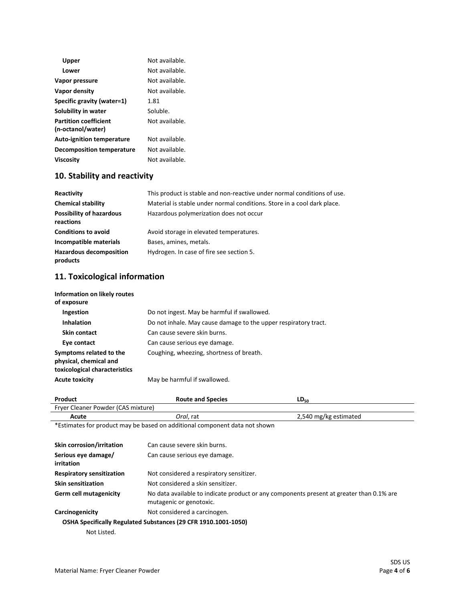| Upper                            | Not available. |
|----------------------------------|----------------|
|                                  |                |
| Lower                            | Not available. |
| Vapor pressure                   | Not available. |
| Vapor density                    | Not available. |
| Specific gravity (water=1)       | 1.81           |
| Solubility in water              | Soluble.       |
| <b>Partition coefficient</b>     | Not available. |
| (n-octanol/water)                |                |
| <b>Auto-ignition temperature</b> | Not available. |
| <b>Decomposition temperature</b> | Not available. |
| <b>Viscosity</b>                 | Not available. |

#### **10. Stability and reactivity**

| Reactivity                                   | This product is stable and non-reactive under normal conditions of use. |
|----------------------------------------------|-------------------------------------------------------------------------|
| <b>Chemical stability</b>                    | Material is stable under normal conditions. Store in a cool dark place. |
| <b>Possibility of hazardous</b><br>reactions | Hazardous polymerization does not occur                                 |
| <b>Conditions to avoid</b>                   | Avoid storage in elevated temperatures.                                 |
| Incompatible materials                       | Bases, amines, metals.                                                  |
| <b>Hazardous decomposition</b><br>products   | Hydrogen. In case of fire see section 5.                                |

#### **11. Toxicological information**

| Information on likely routes<br>of exposure                                        |                                                                 |
|------------------------------------------------------------------------------------|-----------------------------------------------------------------|
| Ingestion                                                                          | Do not ingest. May be harmful if swallowed.                     |
| <b>Inhalation</b>                                                                  | Do not inhale. May cause damage to the upper respiratory tract. |
| <b>Skin contact</b>                                                                | Can cause severe skin burns.                                    |
| Eye contact                                                                        | Can cause serious eye damage.                                   |
| Symptoms related to the<br>physical, chemical and<br>toxicological characteristics | Coughing, wheezing, shortness of breath.                        |
| <b>Acute toxicity</b>                                                              | May be harmful if swallowed.                                    |

**Product Route and Species LD**<sub>50</sub> Fryer Cleaner Powder (CAS mixture) **Acute** *Oral*, rat 2,540 mg/kg estimated \*Estimates for product may be based on additional component data not shown **Skin corrosion/irritation** Can cause severe skin burns. **Serious eye damage/ irritation** Can cause serious eye damage. **Respiratory sensitization** Not considered a respiratory sensitizer. **Skin sensitization** Not considered a skin sensitizer. **Germ cell mutagenicity** No data available to indicate product or any components present at greater than 0.1% are mutagenic or genotoxic. **Carcinogenicity Not considered a carcinogen. OSHA Specifically Regulated Substances (29 CFR 1910.1001-1050)**

Not Listed.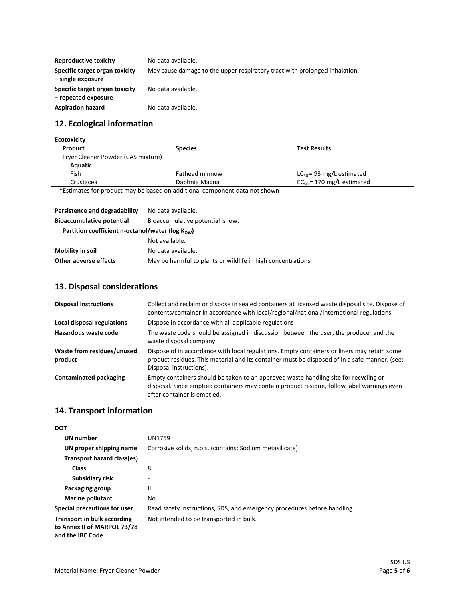| <b>Reproductive toxicity</b>                          | No data available.                                                         |
|-------------------------------------------------------|----------------------------------------------------------------------------|
| Specific target organ toxicity<br>- single exposure   | May cause damage to the upper respiratory tract with prolonged inhalation. |
| Specific target organ toxicity<br>- repeated exposure | No data available.                                                         |
| <b>Aspiration hazard</b>                              | No data available.                                                         |

## **12. Ecological information**

# **Ecotoxicity**

| Product                            | <b>Species</b> | Test Results                   |
|------------------------------------|----------------|--------------------------------|
| Fryer Cleaner Powder (CAS mixture) |                |                                |
| Aquatic                            |                |                                |
| Fish                               | Fathead minnow | $LC_{50}$ = 93 mg/L estimated  |
| Crustacea                          | Daphnia Magna  | $EC_{50}$ = 170 mg/L estimated |

\*Estimates for product may be based on additional component data not shown

| Persistence and degradability                                 | No data available.                                           |
|---------------------------------------------------------------|--------------------------------------------------------------|
| <b>Bioaccumulative potential</b>                              | Bioaccumulative potential is low.                            |
| Partition coefficient n-octanol/water ( $log K_{\text{OW}}$ ) |                                                              |
|                                                               | Not available.                                               |
| Mobility in soil                                              | No data available.                                           |
| Other adverse effects                                         | May be harmful to plants or wildlife in high concentrations. |

## **13. Disposal considerations**

| <b>Disposal instructions</b>          | Collect and reclaim or dispose in sealed containers at licensed waste disposal site. Dispose of<br>contents/container in accordance with local/regional/national/international regulations.                             |
|---------------------------------------|-------------------------------------------------------------------------------------------------------------------------------------------------------------------------------------------------------------------------|
| Local disposal regulations            | Dispose in accordance with all applicable regulations                                                                                                                                                                   |
| Hazardous waste code                  | The waste code should be assigned in discussion between the user, the producer and the<br>waste disposal company.                                                                                                       |
| Waste from residues/unused<br>product | Dispose of in accordance with local regulations. Empty containers or liners may retain some<br>product residues. This material and its container must be disposed of in a safe manner. (see:<br>Disposal instructions). |
| <b>Contaminated packaging</b>         | Empty containers should be taken to an approved waste handling site for recycling or<br>disposal. Since emptied containers may contain product residue, follow label warnings even<br>after container is emptied.       |

### **14. Transport information**

| I<br>۰.<br>۰,<br>۰.<br>., |
|---------------------------|
|---------------------------|

| <b>UN number</b>                                                                      | UN1759                                                                   |
|---------------------------------------------------------------------------------------|--------------------------------------------------------------------------|
| UN proper shipping name                                                               | Corrosive solids, n.o.s. (contains: Sodium metasilicate)                 |
| Transport hazard class(es)                                                            |                                                                          |
| Class                                                                                 | 8                                                                        |
| Subsidiary risk                                                                       | ۰                                                                        |
| Packaging group                                                                       | Ш                                                                        |
| <b>Marine pollutant</b>                                                               | No                                                                       |
| <b>Special precautions for user</b>                                                   | Read safety instructions, SDS, and emergency procedures before handling. |
| <b>Transport in bulk according</b><br>to Annex II of MARPOL 73/78<br>and the IBC Code | Not intended to be transported in bulk.                                  |